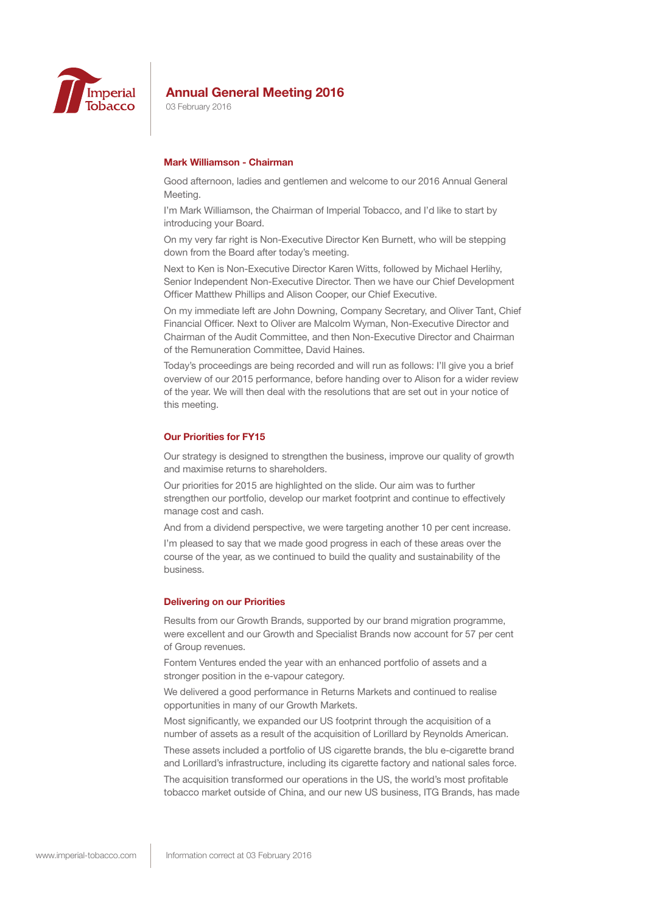

03 February 2016

## **Mark Williamson - Chairman**

Good afternoon, ladies and gentlemen and welcome to our 2016 Annual General Meeting.

I'm Mark Williamson, the Chairman of Imperial Tobacco, and I'd like to start by introducing your Board.

On my very far right is Non-Executive Director Ken Burnett, who will be stepping down from the Board after today's meeting.

Next to Ken is Non-Executive Director Karen Witts, followed by Michael Herlihy, Senior Independent Non-Executive Director. Then we have our Chief Development Officer Matthew Phillips and Alison Cooper, our Chief Executive.

On my immediate left are John Downing, Company Secretary, and Oliver Tant, Chief Financial Officer. Next to Oliver are Malcolm Wyman, Non-Executive Director and Chairman of the Audit Committee, and then Non-Executive Director and Chairman of the Remuneration Committee, David Haines.

Today's proceedings are being recorded and will run as follows: I'll give you a brief overview of our 2015 performance, before handing over to Alison for a wider review of the year. We will then deal with the resolutions that are set out in your notice of this meeting.

#### **Our Priorities for FY15**

Our strategy is designed to strengthen the business, improve our quality of growth and maximise returns to shareholders.

Our priorities for 2015 are highlighted on the slide. Our aim was to further strengthen our portfolio, develop our market footprint and continue to effectively manage cost and cash.

And from a dividend perspective, we were targeting another 10 per cent increase.

I'm pleased to say that we made good progress in each of these areas over the course of the year, as we continued to build the quality and sustainability of the business.

#### **Delivering on our Priorities**

Results from our Growth Brands, supported by our brand migration programme, were excellent and our Growth and Specialist Brands now account for 57 per cent of Group revenues.

Fontem Ventures ended the year with an enhanced portfolio of assets and a stronger position in the e-vapour category.

We delivered a good performance in Returns Markets and continued to realise opportunities in many of our Growth Markets.

Most significantly, we expanded our US footprint through the acquisition of a number of assets as a result of the acquisition of Lorillard by Reynolds American.

These assets included a portfolio of US cigarette brands, the blu e-cigarette brand and Lorillard's infrastructure, including its cigarette factory and national sales force.

The acquisition transformed our operations in the US, the world's most profitable tobacco market outside of China, and our new US business, ITG Brands, has made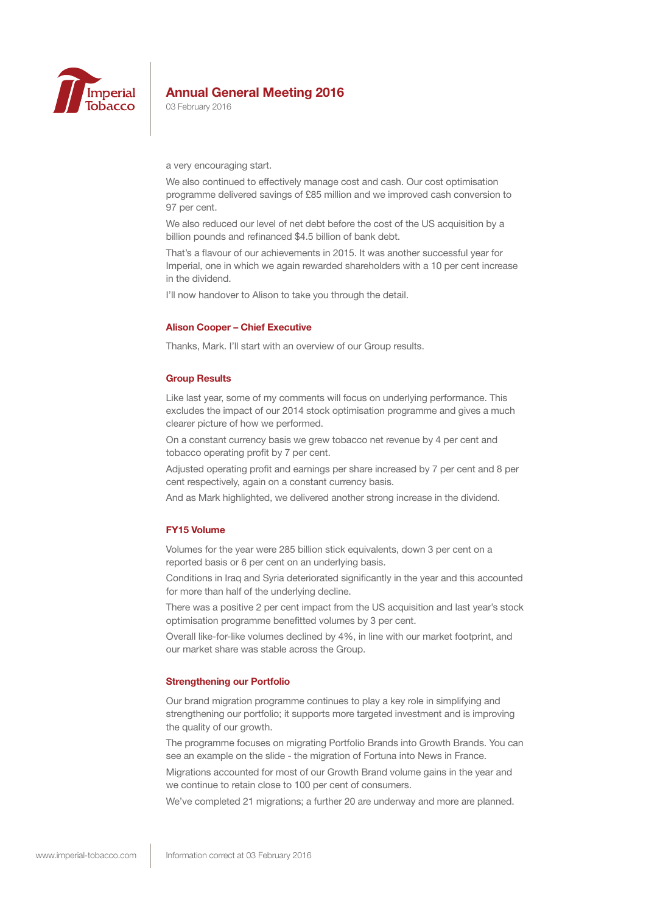

03 February 2016

a very encouraging start.

We also continued to effectively manage cost and cash. Our cost optimisation programme delivered savings of £85 million and we improved cash conversion to 97 per cent.

We also reduced our level of net debt before the cost of the US acquisition by a billion pounds and refinanced \$4.5 billion of bank debt.

That's a flavour of our achievements in 2015. It was another successful year for Imperial, one in which we again rewarded shareholders with a 10 per cent increase in the dividend.

I'll now handover to Alison to take you through the detail.

#### **Alison Cooper – Chief Executive**

Thanks, Mark. I'll start with an overview of our Group results.

#### **Group Results**

Like last year, some of my comments will focus on underlying performance. This excludes the impact of our 2014 stock optimisation programme and gives a much clearer picture of how we performed.

On a constant currency basis we grew tobacco net revenue by 4 per cent and tobacco operating profit by 7 per cent.

Adjusted operating profit and earnings per share increased by 7 per cent and 8 per cent respectively, again on a constant currency basis.

And as Mark highlighted, we delivered another strong increase in the dividend.

## **FY15 Volume**

Volumes for the year were 285 billion stick equivalents, down 3 per cent on a reported basis or 6 per cent on an underlying basis.

Conditions in Iraq and Syria deteriorated significantly in the year and this accounted for more than half of the underlying decline.

There was a positive 2 per cent impact from the US acquisition and last year's stock optimisation programme benefitted volumes by 3 per cent.

Overall like-for-like volumes declined by 4%, in line with our market footprint, and our market share was stable across the Group.

## **Strengthening our Portfolio**

Our brand migration programme continues to play a key role in simplifying and strengthening our portfolio; it supports more targeted investment and is improving the quality of our growth.

The programme focuses on migrating Portfolio Brands into Growth Brands. You can see an example on the slide - the migration of Fortuna into News in France.

Migrations accounted for most of our Growth Brand volume gains in the year and we continue to retain close to 100 per cent of consumers.

We've completed 21 migrations; a further 20 are underway and more are planned.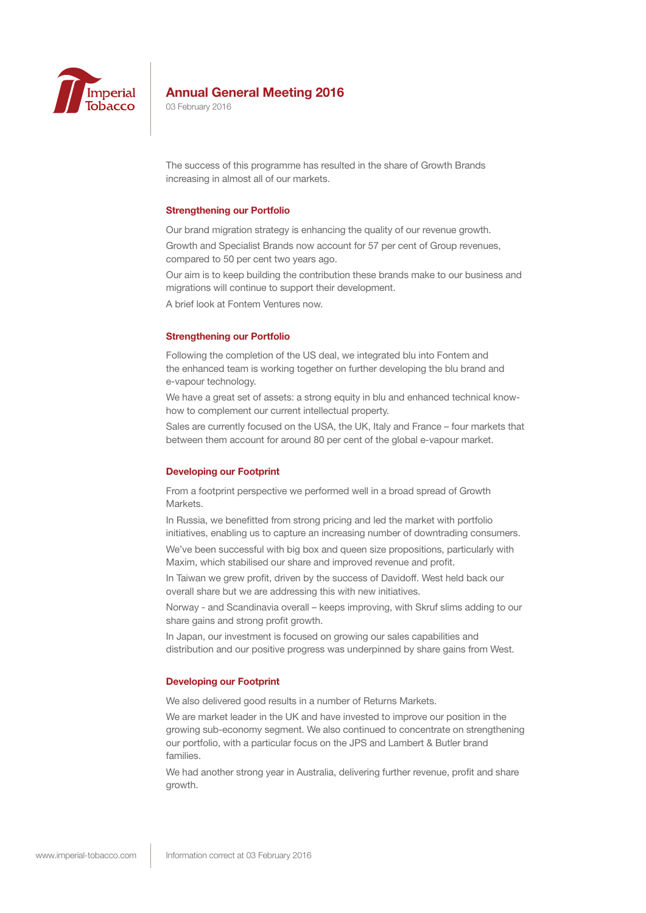

03 February 2016

The success of this programme has resulted in the share of Growth Brands increasing in almost all of our markets.

#### **Strengthening our Portfolio**

Our brand migration strategy is enhancing the quality of our revenue growth.

Growth and Specialist Brands now account for 57 per cent of Group revenues, compared to 50 per cent two years ago.

Our aim is to keep building the contribution these brands make to our business and migrations will continue to support their development.

A brief look at Fontem Ventures now.

#### **Strengthening our Portfolio**

Following the completion of the US deal, we integrated blu into Fontem and the enhanced team is working together on further developing the blu brand and e-vapour technology.

We have a great set of assets: a strong equity in blu and enhanced technical knowhow to complement our current intellectual property.

Sales are currently focused on the USA, the UK, Italy and France – four markets that between them account for around 80 per cent of the global e-vapour market.

#### **Developing our Footprint**

From a footprint perspective we performed well in a broad spread of Growth Markets.

In Russia, we benefitted from strong pricing and led the market with portfolio initiatives, enabling us to capture an increasing number of downtrading consumers.

We've been successful with big box and queen size propositions, particularly with Maxim, which stabilised our share and improved revenue and profit.

In Taiwan we grew profit, driven by the success of Davidoff. West held back our overall share but we are addressing this with new initiatives.

Norway - and Scandinavia overall – keeps improving, with Skruf slims adding to our share gains and strong profit growth.

In Japan, our investment is focused on growing our sales capabilities and distribution and our positive progress was underpinned by share gains from West.

## **Developing our Footprint**

We also delivered good results in a number of Returns Markets.

We are market leader in the UK and have invested to improve our position in the growing sub-economy segment. We also continued to concentrate on strengthening our portfolio, with a particular focus on the JPS and Lambert & Butler brand families.

We had another strong year in Australia, delivering further revenue, profit and share growth.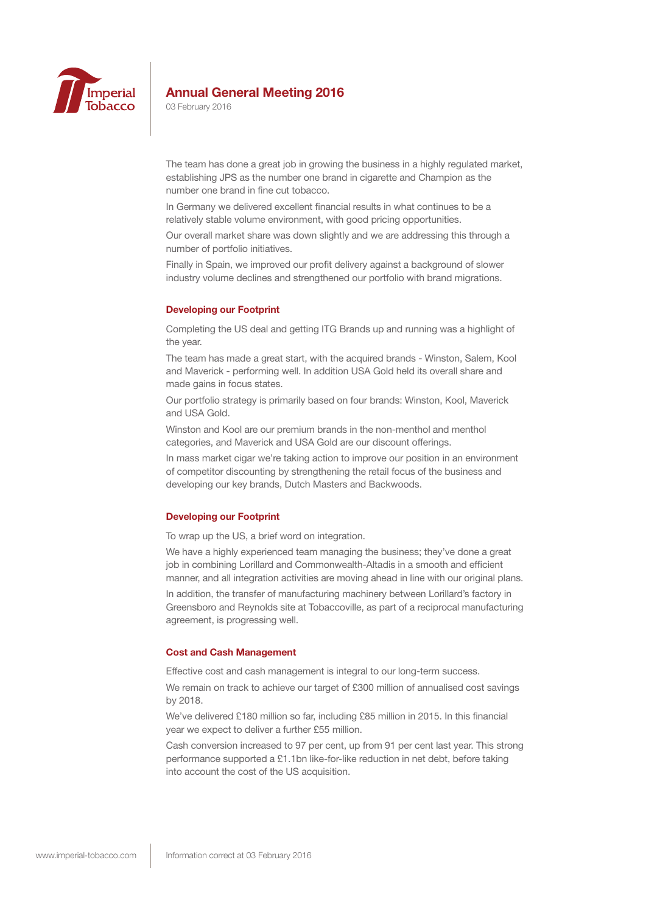

03 February 2016

The team has done a great job in growing the business in a highly regulated market, establishing JPS as the number one brand in cigarette and Champion as the number one brand in fine cut tobacco.

In Germany we delivered excellent financial results in what continues to be a relatively stable volume environment, with good pricing opportunities.

Our overall market share was down slightly and we are addressing this through a number of portfolio initiatives.

Finally in Spain, we improved our profit delivery against a background of slower industry volume declines and strengthened our portfolio with brand migrations.

#### **Developing our Footprint**

Completing the US deal and getting ITG Brands up and running was a highlight of the year.

The team has made a great start, with the acquired brands - Winston, Salem, Kool and Maverick - performing well. In addition USA Gold held its overall share and made gains in focus states.

Our portfolio strategy is primarily based on four brands: Winston, Kool, Maverick and USA Gold.

Winston and Kool are our premium brands in the non-menthol and menthol categories, and Maverick and USA Gold are our discount offerings.

In mass market cigar we're taking action to improve our position in an environment of competitor discounting by strengthening the retail focus of the business and developing our key brands, Dutch Masters and Backwoods.

#### **Developing our Footprint**

To wrap up the US, a brief word on integration.

We have a highly experienced team managing the business; they've done a great job in combining Lorillard and Commonwealth-Altadis in a smooth and efficient manner, and all integration activities are moving ahead in line with our original plans.

In addition, the transfer of manufacturing machinery between Lorillard's factory in Greensboro and Reynolds site at Tobaccoville, as part of a reciprocal manufacturing agreement, is progressing well.

## **Cost and Cash Management**

Effective cost and cash management is integral to our long-term success.

We remain on track to achieve our target of £300 million of annualised cost savings by 2018.

We've delivered £180 million so far, including £85 million in 2015. In this financial year we expect to deliver a further £55 million.

Cash conversion increased to 97 per cent, up from 91 per cent last year. This strong performance supported a £1.1bn like-for-like reduction in net debt, before taking into account the cost of the US acquisition.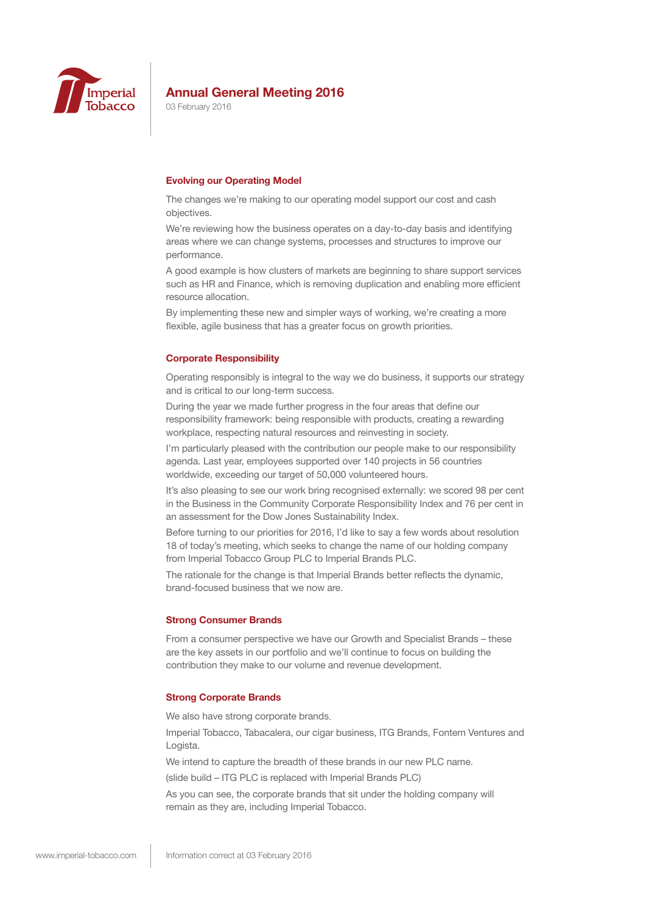

03 February 2016

#### **Evolving our Operating Model**

The changes we're making to our operating model support our cost and cash objectives.

We're reviewing how the business operates on a day-to-day basis and identifying areas where we can change systems, processes and structures to improve our performance.

A good example is how clusters of markets are beginning to share support services such as HR and Finance, which is removing duplication and enabling more efficient resource allocation.

By implementing these new and simpler ways of working, we're creating a more flexible, agile business that has a greater focus on growth priorities.

#### **Corporate Responsibility**

Operating responsibly is integral to the way we do business, it supports our strategy and is critical to our long-term success.

During the year we made further progress in the four areas that define our responsibility framework: being responsible with products, creating a rewarding workplace, respecting natural resources and reinvesting in society.

I'm particularly pleased with the contribution our people make to our responsibility agenda. Last year, employees supported over 140 projects in 56 countries worldwide, exceeding our target of 50,000 volunteered hours.

It's also pleasing to see our work bring recognised externally: we scored 98 per cent in the Business in the Community Corporate Responsibility Index and 76 per cent in an assessment for the Dow Jones Sustainability Index.

Before turning to our priorities for 2016, I'd like to say a few words about resolution 18 of today's meeting, which seeks to change the name of our holding company from Imperial Tobacco Group PLC to Imperial Brands PLC.

The rationale for the change is that Imperial Brands better reflects the dynamic, brand-focused business that we now are.

#### **Strong Consumer Brands**

From a consumer perspective we have our Growth and Specialist Brands – these are the key assets in our portfolio and we'll continue to focus on building the contribution they make to our volume and revenue development.

#### **Strong Corporate Brands**

We also have strong corporate brands.

Imperial Tobacco, Tabacalera, our cigar business, ITG Brands, Fontem Ventures and Logista.

We intend to capture the breadth of these brands in our new PLC name.

(slide build – ITG PLC is replaced with Imperial Brands PLC)

As you can see, the corporate brands that sit under the holding company will remain as they are, including Imperial Tobacco.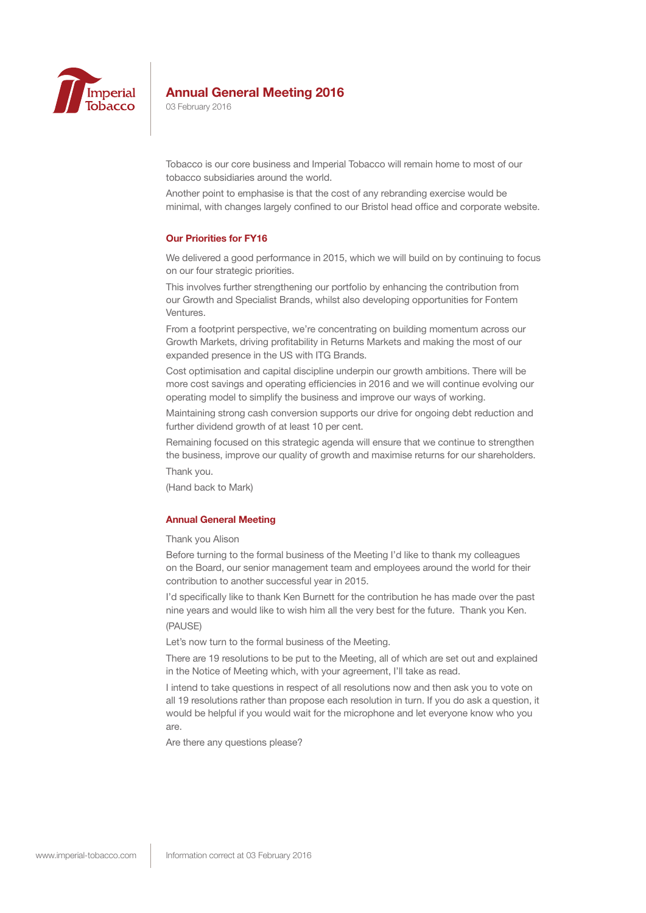

03 February 2016

Tobacco is our core business and Imperial Tobacco will remain home to most of our tobacco subsidiaries around the world.

Another point to emphasise is that the cost of any rebranding exercise would be minimal, with changes largely confined to our Bristol head office and corporate website.

### **Our Priorities for FY16**

We delivered a good performance in 2015, which we will build on by continuing to focus on our four strategic priorities.

This involves further strengthening our portfolio by enhancing the contribution from our Growth and Specialist Brands, whilst also developing opportunities for Fontem Ventures.

From a footprint perspective, we're concentrating on building momentum across our Growth Markets, driving profitability in Returns Markets and making the most of our expanded presence in the US with ITG Brands.

Cost optimisation and capital discipline underpin our growth ambitions. There will be more cost savings and operating efficiencies in 2016 and we will continue evolving our operating model to simplify the business and improve our ways of working.

Maintaining strong cash conversion supports our drive for ongoing debt reduction and further dividend growth of at least 10 per cent.

Remaining focused on this strategic agenda will ensure that we continue to strengthen the business, improve our quality of growth and maximise returns for our shareholders. Thank you.

(Hand back to Mark)

# **Annual General Meeting**

## Thank you Alison

Before turning to the formal business of the Meeting I'd like to thank my colleagues on the Board, our senior management team and employees around the world for their contribution to another successful year in 2015.

I'd specifically like to thank Ken Burnett for the contribution he has made over the past nine years and would like to wish him all the very best for the future. Thank you Ken. (PAUSE)

Let's now turn to the formal business of the Meeting.

There are 19 resolutions to be put to the Meeting, all of which are set out and explained in the Notice of Meeting which, with your agreement, I'll take as read.

I intend to take questions in respect of all resolutions now and then ask you to vote on all 19 resolutions rather than propose each resolution in turn. If you do ask a question, it would be helpful if you would wait for the microphone and let everyone know who you are.

Are there any questions please?